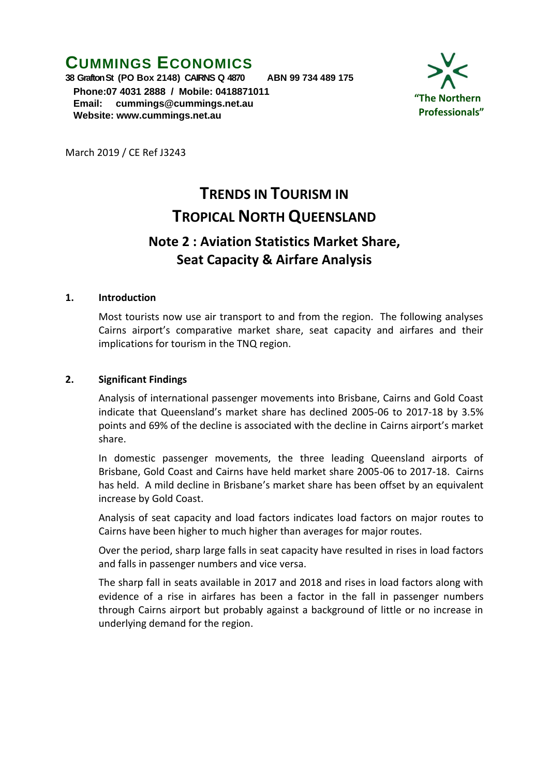## **CUMMINGS ECONOMICS**

**38 Grafton St (PO Box 2148) CAIRNS Q 4870 ABN 99 734 489 175 Phone:07 4031 2888 / Mobile: 0418871011 Email: [cummings@cummings.net.au](mailto:cummings@cummings.net.au) Website: www.cummings.net.au**



March 2019 / CE Ref J3243

# **TRENDS IN TOURISM IN TROPICAL NORTH QUEENSLAND**

### **Note 2 : Aviation Statistics Market Share, Seat Capacity & Airfare Analysis**

#### **1. Introduction**

Most tourists now use air transport to and from the region. The following analyses Cairns airport's comparative market share, seat capacity and airfares and their implications for tourism in the TNQ region.

#### **2. Significant Findings**

Analysis of international passenger movements into Brisbane, Cairns and Gold Coast indicate that Queensland's market share has declined 2005-06 to 2017-18 by 3.5% points and 69% of the decline is associated with the decline in Cairns airport's market share.

In domestic passenger movements, the three leading Queensland airports of Brisbane, Gold Coast and Cairns have held market share 2005-06 to 2017-18. Cairns has held. A mild decline in Brisbane's market share has been offset by an equivalent increase by Gold Coast.

Analysis of seat capacity and load factors indicates load factors on major routes to Cairns have been higher to much higher than averages for major routes.

Over the period, sharp large falls in seat capacity have resulted in rises in load factors and falls in passenger numbers and vice versa.

The sharp fall in seats available in 2017 and 2018 and rises in load factors along with evidence of a rise in airfares has been a factor in the fall in passenger numbers through Cairns airport but probably against a background of little or no increase in underlying demand for the region.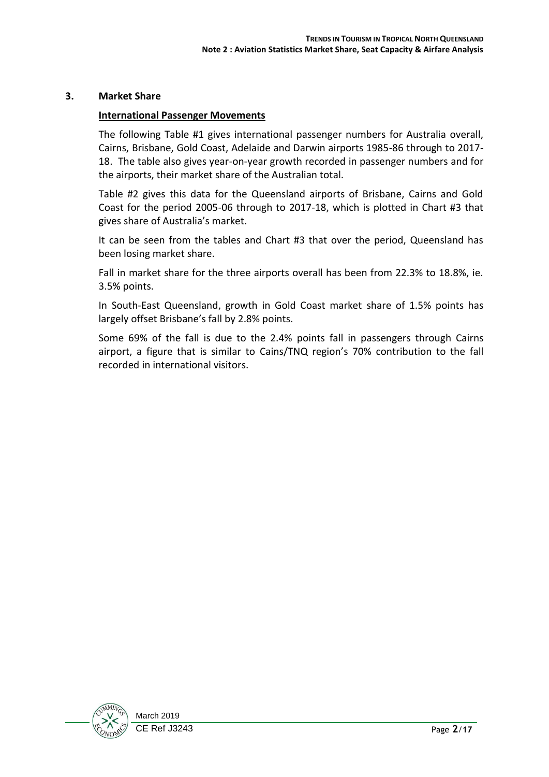#### **3. Market Share**

#### **International Passenger Movements**

The following Table #1 gives international passenger numbers for Australia overall, Cairns, Brisbane, Gold Coast, Adelaide and Darwin airports 1985-86 through to 2017- 18. The table also gives year-on-year growth recorded in passenger numbers and for the airports, their market share of the Australian total.

Table #2 gives this data for the Queensland airports of Brisbane, Cairns and Gold Coast for the period 2005-06 through to 2017-18, which is plotted in Chart #3 that gives share of Australia's market.

It can be seen from the tables and Chart #3 that over the period, Queensland has been losing market share.

Fall in market share for the three airports overall has been from 22.3% to 18.8%, ie. 3.5% points.

In South-East Queensland, growth in Gold Coast market share of 1.5% points has largely offset Brisbane's fall by 2.8% points.

Some 69% of the fall is due to the 2.4% points fall in passengers through Cairns airport, a figure that is similar to Cains/TNQ region's 70% contribution to the fall recorded in international visitors.

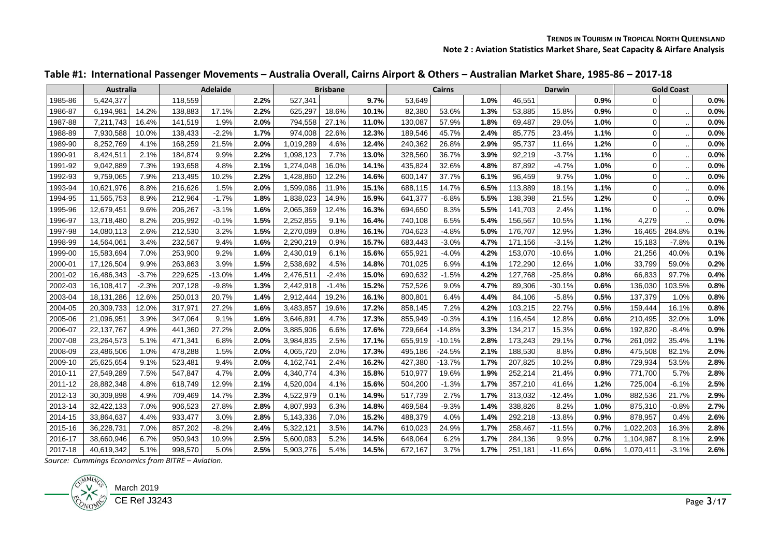|  |  |  | Table #1: International Passenger Movements – Australia Overall, Cairns Airport & Others – Australian Market Share, 1985-86 – 2017-18 |  |  |
|--|--|--|---------------------------------------------------------------------------------------------------------------------------------------|--|--|
|--|--|--|---------------------------------------------------------------------------------------------------------------------------------------|--|--|

|         | Australia  |         |         | <b>Adelaide</b> |      |           | <b>Brisbane</b> |       |         | <b>Cairns</b> |      |         | Darwin   |      |             | <b>Gold Coast</b> |      |
|---------|------------|---------|---------|-----------------|------|-----------|-----------------|-------|---------|---------------|------|---------|----------|------|-------------|-------------------|------|
| 1985-86 | 5,424,377  |         | 118,559 |                 | 2.2% | 527,341   |                 | 9.7%  | 53,649  |               | 1.0% | 46,551  |          | 0.9% | $\Omega$    |                   | 0.0% |
| 1986-87 | 6,194,981  | 14.2%   | 138,883 | 17.1%           | 2.2% | 625.297   | 18.6%           | 10.1% | 82,380  | 53.6%         | 1.3% | 53,885  | 15.8%    | 0.9% | $\Omega$    |                   | 0.0% |
| 1987-88 | 7,211,743  | 16.4%   | 141,519 | 1.9%            | 2.0% | 794,558   | 27.1%           | 11.0% | 130,087 | 57.9%         | 1.8% | 69,487  | 29.0%    | 1.0% | $\mathbf 0$ |                   | 0.0% |
| 1988-89 | 7,930,588  | 10.0%   | 138,433 | $-2.2%$         | 1.7% | 974,008   | 22.6%           | 12.3% | 189,546 | 45.7%         | 2.4% | 85.775  | 23.4%    | 1.1% | $\mathbf 0$ |                   | 0.0% |
| 1989-90 | 8,252,769  | 4.1%    | 168,259 | 21.5%           | 2.0% | 1,019,289 | 4.6%            | 12.4% | 240,362 | 26.8%         | 2.9% | 95,737  | 11.6%    | 1.2% | $\Omega$    |                   | 0.0% |
| 1990-91 | 8,424,511  | 2.1%    | 184,874 | 9.9%            | 2.2% | 1,098,123 | 7.7%            | 13.0% | 328,560 | 36.7%         | 3.9% | 92,219  | $-3.7%$  | 1.1% | $\mathbf 0$ |                   | 0.0% |
| 1991-92 | 9,042,889  | 7.3%    | 193,658 | 4.8%            | 2.1% | 1,274,048 | 16.0%           | 14.1% | 435,824 | 32.6%         | 4.8% | 87,892  | $-4.7%$  | 1.0% | $\mathbf 0$ |                   | 0.0% |
| 1992-93 | 9,759,065  | 7.9%    | 213,495 | 10.2%           | 2.2% | 1,428,860 | 12.2%           | 14.6% | 600,147 | 37.7%         | 6.1% | 96,459  | 9.7%     | 1.0% | $\mathbf 0$ |                   | 0.0% |
| 1993-94 | 10,621,976 | 8.8%    | 216,626 | 1.5%            | 2.0% | 1,599,086 | 11.9%           | 15.1% | 688,115 | 14.7%         | 6.5% | 113,889 | 18.1%    | 1.1% | $\Omega$    |                   | 0.0% |
| 1994-95 | 11,565,753 | 8.9%    | 212,964 | $-1.7%$         | 1.8% | 1,838,023 | 14.9%           | 15.9% | 641,377 | $-6.8%$       | 5.5% | 138,398 | 21.5%    | 1.2% | $\Omega$    |                   | 0.0% |
| 1995-96 | 12,679,451 | 9.6%    | 206,267 | $-3.1%$         | 1.6% | 2,065,369 | 12.4%           | 16.3% | 694,650 | 8.3%          | 5.5% | 141,703 | 2.4%     | 1.1% | $\mathbf 0$ |                   | 0.0% |
| 1996-97 | 13,718,480 | 8.2%    | 205,992 | $-0.1%$         | 1.5% | 2,252,855 | 9.1%            | 16.4% | 740,108 | 6.5%          | 5.4% | 156,567 | 10.5%    | 1.1% | 4,279       |                   | 0.0% |
| 1997-98 | 14,080,113 | 2.6%    | 212,530 | 3.2%            | 1.5% | 2,270,089 | 0.8%            | 16.1% | 704,623 | $-4.8%$       | 5.0% | 176,707 | 12.9%    | 1.3% | 16,465      | 284.8%            | 0.1% |
| 1998-99 | 14,564,061 | 3.4%    | 232,567 | 9.4%            | 1.6% | 2,290,219 | 0.9%            | 15.7% | 683,443 | $-3.0%$       | 4.7% | 171,156 | $-3.1%$  | 1.2% | 15,183      | $-7.8%$           | 0.1% |
| 1999-00 | 15,583,694 | 7.0%    | 253,900 | 9.2%            | 1.6% | 2,430,019 | 6.1%            | 15.6% | 655,921 | $-4.0%$       | 4.2% | 153,070 | $-10.6%$ | 1.0% | 21,256      | 40.0%             | 0.1% |
| 2000-01 | 17,126,504 | 9.9%    | 263,863 | 3.9%            | 1.5% | 2.538.692 | 4.5%            | 14.8% | 701.025 | 6.9%          | 4.1% | 172,290 | 12.6%    | 1.0% | 33,799      | 59.0%             | 0.2% |
| 2001-02 | 16,486,343 | $-3.7%$ | 229,625 | $-13.0%$        | 1.4% | 2,476,511 | $-2.4%$         | 15.0% | 690,632 | $-1.5%$       | 4.2% | 127,768 | $-25.8%$ | 0.8% | 66,833      | 97.7%             | 0.4% |
| 2002-03 | 16,108,417 | $-2.3%$ | 207,128 | $-9.8%$         | 1.3% | 2,442,918 | $-1.4%$         | 15.2% | 752,526 | 9.0%          | 4.7% | 89,306  | $-30.1%$ | 0.6% | 136,030     | 103.5%            | 0.8% |
| 2003-04 | 18,131,286 | 12.6%   | 250,013 | 20.7%           | 1.4% | 2,912,444 | 19.2%           | 16.1% | 800,801 | 6.4%          | 4.4% | 84.106  | $-5.8%$  | 0.5% | 137,379     | 1.0%              | 0.8% |
| 2004-05 | 20,309,733 | 12.0%   | 317,971 | 27.2%           | 1.6% | 3,483,857 | 19.6%           | 17.2% | 858,145 | 7.2%          | 4.2% | 103,215 | 22.7%    | 0.5% | 159,444     | 16.1%             | 0.8% |
| 2005-06 | 21,096,951 | 3.9%    | 347,064 | 9.1%            | 1.6% | 3,646,891 | 4.7%            | 17.3% | 855,949 | $-0.3%$       | 4.1% | 116,454 | 12.8%    | 0.6% | 210,495     | 32.0%             | 1.0% |
| 2006-07 | 22,137,767 | 4.9%    | 441,360 | 27.2%           | 2.0% | 3,885,906 | 6.6%            | 17.6% | 729,664 | $-14.8%$      | 3.3% | 134,217 | 15.3%    | 0.6% | 192,820     | $-8.4%$           | 0.9% |
| 2007-08 | 23,264,573 | 5.1%    | 471,341 | 6.8%            | 2.0% | 3,984,835 | 2.5%            | 17.1% | 655,919 | $-10.1%$      | 2.8% | 173,243 | 29.1%    | 0.7% | 261,092     | 35.4%             | 1.1% |
| 2008-09 | 23,486,506 | 1.0%    | 478,288 | 1.5%            | 2.0% | 4,065,720 | 2.0%            | 17.3% | 495,186 | $-24.5%$      | 2.1% | 188,530 | 8.8%     | 0.8% | 475,508     | 82.1%             | 2.0% |
| 2009-10 | 25,625,654 | 9.1%    | 523,481 | 9.4%            | 2.0% | 4,162,741 | 2.4%            | 16.2% | 427,380 | $-13.7%$      | 1.7% | 207,825 | 10.2%    | 0.8% | 729,934     | 53.5%             | 2.8% |
| 2010-11 | 27,549,289 | 7.5%    | 547,847 | 4.7%            | 2.0% | 4,340,774 | 4.3%            | 15.8% | 510,977 | 19.6%         | 1.9% | 252,214 | 21.4%    | 0.9% | 771.700     | 5.7%              | 2.8% |
| 2011-12 | 28,882,348 | 4.8%    | 618,749 | 12.9%           | 2.1% | 4,520,004 | 4.1%            | 15.6% | 504,200 | $-1.3%$       | 1.7% | 357,210 | 41.6%    | 1.2% | 725,004     | $-6.1%$           | 2.5% |
| 2012-13 | 30,309,898 | 4.9%    | 709,469 | 14.7%           | 2.3% | 4.522.979 | 0.1%            | 14.9% | 517,739 | 2.7%          | 1.7% | 313,032 | $-12.4%$ | 1.0% | 882,536     | 21.7%             | 2.9% |
| 2013-14 | 32,422,133 | 7.0%    | 906,523 | 27.8%           | 2.8% | 4,807,993 | 6.3%            | 14.8% | 469,584 | $-9.3%$       | 1.4% | 338,826 | 8.2%     | 1.0% | 875,310     | $-0.8%$           | 2.7% |
| 2014-15 | 33,864,637 | 4.4%    | 933,477 | 3.0%            | 2.8% | 5,143,336 | 7.0%            | 15.2% | 488,379 | 4.0%          | 1.4% | 292,218 | $-13.8%$ | 0.9% | 878,957     | 0.4%              | 2.6% |
| 2015-16 | 36,228,731 | 7.0%    | 857,202 | $-8.2%$         | 2.4% | 5,322,121 | 3.5%            | 14.7% | 610,023 | 24.9%         | 1.7% | 258,467 | $-11.5%$ | 0.7% | 1,022,203   | 16.3%             | 2.8% |
| 2016-17 | 38,660,946 | 6.7%    | 950,943 | 10.9%           | 2.5% | 5,600,083 | 5.2%            | 14.5% | 648,064 | 6.2%          | 1.7% | 284,136 | 9.9%     | 0.7% | 1,104,987   | 8.1%              | 2.9% |
| 2017-18 | 40,619,342 | 5.1%    | 998,570 | 5.0%            | 2.5% | 5,903,276 | 5.4%            | 14.5% | 672,167 | 3.7%          | 1.7% | 251.181 | $-11.6%$ | 0.6% | 1,070,411   | $-3.1%$           | 2.6% |

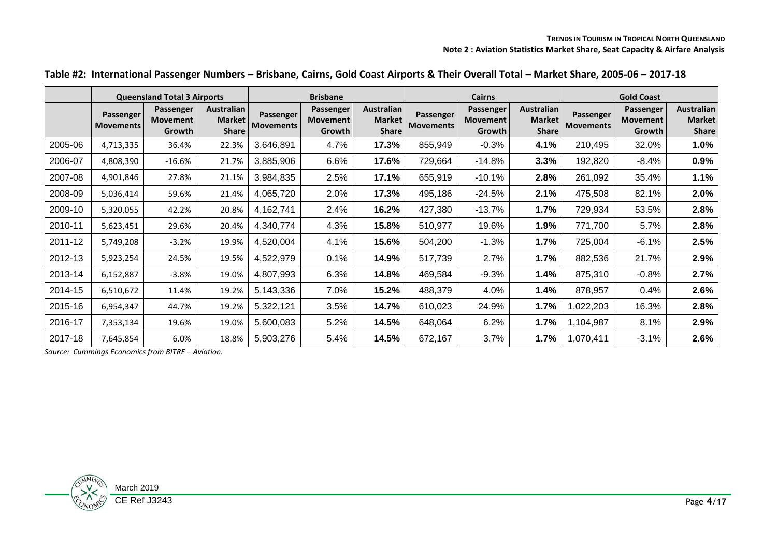|         |                               | <b>Queensland Total 3 Airports</b>     |                                               | <b>Brisbane</b>               |                                 |                                             |                               | <b>Cairns</b>                          |                                                    | <b>Gold Coast</b>             |                                        |                                             |  |
|---------|-------------------------------|----------------------------------------|-----------------------------------------------|-------------------------------|---------------------------------|---------------------------------------------|-------------------------------|----------------------------------------|----------------------------------------------------|-------------------------------|----------------------------------------|---------------------------------------------|--|
|         | Passenger<br><b>Movements</b> | Passenger<br><b>Movement</b><br>Growth | <b>Australian</b><br>Market  <br><b>Share</b> | Passenger<br><b>Movements</b> | Passenger<br>Movement<br>Growth | <b>Australian</b><br>Market<br><b>Share</b> | Passenger<br><b>Movements</b> | Passenger<br><b>Movement</b><br>Growth | <b>Australian</b><br><b>Market</b><br><b>Share</b> | Passenger<br><b>Movements</b> | Passenger<br><b>Movement</b><br>Growth | <b>Australian</b><br>Market<br><b>Share</b> |  |
| 2005-06 | 4,713,335                     | 36.4%                                  | 22.3%                                         | 3,646,891                     | 4.7%                            | 17.3%                                       | 855,949                       | $-0.3%$                                | 4.1%                                               | 210,495                       | 32.0%                                  | 1.0%                                        |  |
| 2006-07 | 4,808,390                     | $-16.6\%$                              | 21.7%                                         | 3,885,906                     | 6.6%                            | 17.6%                                       | 729,664                       | $-14.8%$                               | 3.3%                                               | 192,820                       | $-8.4%$                                | 0.9%                                        |  |
| 2007-08 | 4,901,846                     | 27.8%                                  | 21.1%                                         | 3,984,835                     | 2.5%                            | 17.1%                                       | 655,919                       | $-10.1%$                               | 2.8%                                               | 261,092                       | 35.4%                                  | 1.1%                                        |  |
| 2008-09 | 5,036,414                     | 59.6%                                  | 21.4%                                         | 4,065,720                     | 2.0%                            | 17.3%                                       | 495,186                       | $-24.5%$                               | 2.1%                                               | 475,508                       | 82.1%                                  | 2.0%                                        |  |
| 2009-10 | 5,320,055                     | 42.2%                                  | 20.8%                                         | 4,162,741                     | 2.4%                            | 16.2%                                       | 427,380                       | $-13.7%$                               | 1.7%                                               | 729,934                       | 53.5%                                  | 2.8%                                        |  |
| 2010-11 | 5,623,451                     | 29.6%                                  | 20.4%                                         | 4,340,774                     | 4.3%                            | 15.8%                                       | 510,977                       | 19.6%                                  | 1.9%                                               | 771,700                       | 5.7%                                   | 2.8%                                        |  |
| 2011-12 | 5,749,208                     | $-3.2%$                                | 19.9%                                         | 4,520,004                     | 4.1%                            | 15.6%                                       | 504,200                       | $-1.3%$                                | 1.7%                                               | 725,004                       | $-6.1%$                                | 2.5%                                        |  |
| 2012-13 | 5,923,254                     | 24.5%                                  | 19.5%                                         | 4,522,979                     | 0.1%                            | 14.9%                                       | 517,739                       | 2.7%                                   | 1.7%                                               | 882,536                       | 21.7%                                  | 2.9%                                        |  |
| 2013-14 | 6,152,887                     | $-3.8%$                                | 19.0%                                         | 4,807,993                     | 6.3%                            | 14.8%                                       | 469,584                       | $-9.3%$                                | 1.4%                                               | 875,310                       | $-0.8%$                                | 2.7%                                        |  |
| 2014-15 | 6,510,672                     | 11.4%                                  | 19.2%                                         | 5,143,336                     | 7.0%                            | 15.2%                                       | 488,379                       | 4.0%                                   | 1.4%                                               | 878,957                       | 0.4%                                   | 2.6%                                        |  |
| 2015-16 | 6,954,347                     | 44.7%                                  | 19.2%                                         | 5,322,121                     | 3.5%                            | 14.7%                                       | 610,023                       | 24.9%                                  | 1.7%                                               | ,022,203                      | 16.3%                                  | 2.8%                                        |  |
| 2016-17 | 7,353,134                     | 19.6%                                  | 19.0%                                         | 5,600,083                     | 5.2%                            | 14.5%                                       | 648,064                       | 6.2%                                   | 1.7%                                               | 1,104,987                     | 8.1%                                   | 2.9%                                        |  |
| 2017-18 | 7,645,854                     | 6.0%                                   | 18.8%                                         | 5,903,276                     | 5.4%                            | 14.5%                                       | 672,167                       | 3.7%                                   | 1.7%                                               | 1,070,411                     | $-3.1%$                                | 2.6%                                        |  |

#### **Table #2: International Passenger Numbers – Brisbane, Cairns, Gold Coast Airports & Their Overall Total – Market Share, 2005-06 – 2017-18**

*Source: Cummings Economics from BITRE – Aviation.*

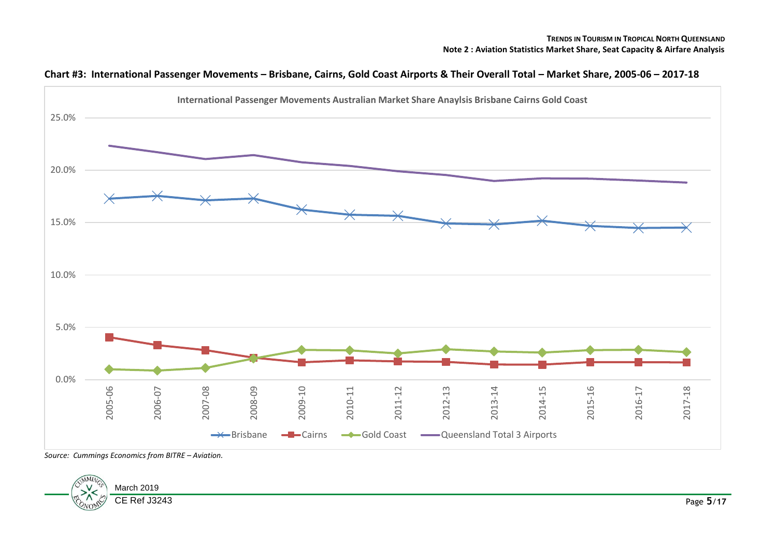

#### **Chart #3: International Passenger Movements – Brisbane, Cairns, Gold Coast Airports & Their Overall Total – Market Share, 2005-06 – 2017-18**

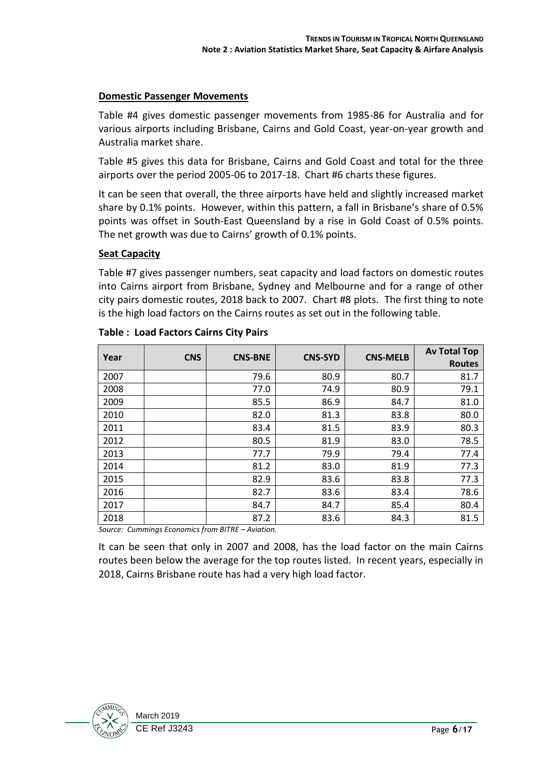#### **Domestic Passenger Movements**

Table #4 gives domestic passenger movements from 1985-86 for Australia and for various airports including Brisbane, Cairns and Gold Coast, year-on-year growth and Australia market share.

Table #5 gives this data for Brisbane, Cairns and Gold Coast and total for the three airports over the period 2005-06 to 2017-18. Chart #6 charts these figures.

It can be seen that overall, the three airports have held and slightly increased market share by 0.1% points. However, within this pattern, a fall in Brisbane's share of 0.5% points was offset in South-East Queensland by a rise in Gold Coast of 0.5% points. The net growth was due to Cairns' growth of 0.1% points.

#### **Seat Capacity**

Table #7 gives passenger numbers, seat capacity and load factors on domestic routes into Cairns airport from Brisbane, Sydney and Melbourne and for a range of other city pairs domestic routes, 2018 back to 2007. Chart #8 plots. The first thing to note is the high load factors on the Cairns routes as set out in the following table.

| Year | <b>CNS</b> | <b>CNS-BNE</b> | <b>CNS-SYD</b> | <b>CNS-MELB</b> | <b>Av Total Top</b><br><b>Routes</b> |
|------|------------|----------------|----------------|-----------------|--------------------------------------|
| 2007 |            | 79.6           | 80.9           | 80.7            | 81.7                                 |
| 2008 |            | 77.0           | 74.9           | 80.9            | 79.1                                 |
| 2009 |            | 85.5           | 86.9           | 84.7            | 81.0                                 |
| 2010 |            | 82.0           | 81.3           | 83.8            | 80.0                                 |
| 2011 |            | 83.4           | 81.5           | 83.9            | 80.3                                 |
| 2012 |            | 80.5           | 81.9           | 83.0            | 78.5                                 |
| 2013 |            | 77.7           | 79.9           | 79.4            | 77.4                                 |
| 2014 |            | 81.2           | 83.0           | 81.9            | 77.3                                 |
| 2015 |            | 82.9           | 83.6           | 83.8            | 77.3                                 |
| 2016 |            | 82.7           | 83.6           | 83.4            | 78.6                                 |
| 2017 |            | 84.7           | 84.7           | 85.4            | 80.4                                 |
| 2018 |            | 87.2           | 83.6           | 84.3            | 81.5                                 |

#### **Table : Load Factors Cairns City Pairs**

*Source: Cummings Economics from BITRE – Aviation.*

It can be seen that only in 2007 and 2008, has the load factor on the main Cairns routes been below the average for the top routes listed. In recent years, especially in 2018, Cairns Brisbane route has had a very high load factor.

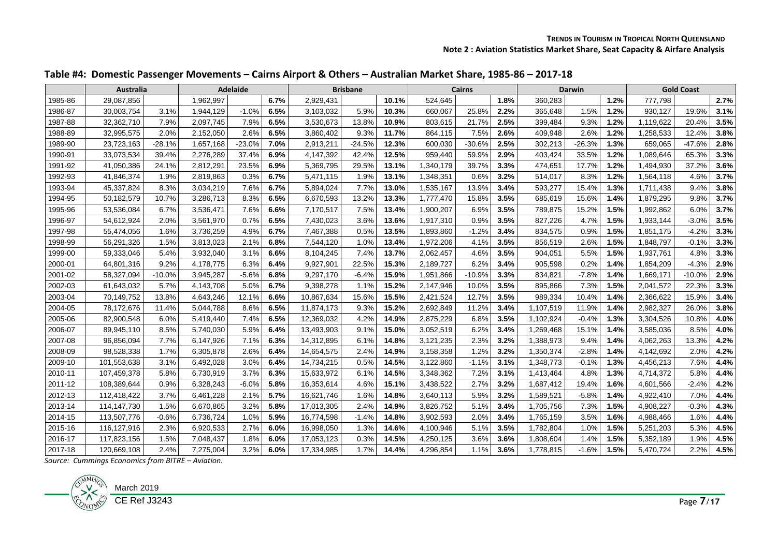|  | Table #4: Domestic Passenger Movements – Cairns Airport & Others – Australian Market Share, 1985-86 – 2017-18 |  |  |
|--|---------------------------------------------------------------------------------------------------------------|--|--|
|--|---------------------------------------------------------------------------------------------------------------|--|--|

|         | <b>Australia</b> |          |           | <b>Adelaide</b> |      |            | <b>Brisbane</b> |       |           | <b>Cairns</b> |      |           | <b>Darwin</b> |      |           | <b>Gold Coast</b> |      |
|---------|------------------|----------|-----------|-----------------|------|------------|-----------------|-------|-----------|---------------|------|-----------|---------------|------|-----------|-------------------|------|
| 1985-86 | 29,087,856       |          | 1,962,997 |                 | 6.7% | 2,929,431  |                 | 10.1% | 524,645   |               | 1.8% | 360,283   |               | 1.2% | 777,798   |                   | 2.7% |
| 1986-87 | 30,003,754       | 3.1%     | 1,944,129 | $-1.0%$         | 6.5% | 3,103,032  | 5.9%            | 10.3% | 660.067   | 25.8%         | 2.2% | 365,648   | 1.5%          | 1.2% | 930.127   | 19.6%             | 3.1% |
| 1987-88 | 32,362,710       | 7.9%     | 2,097,745 | 7.9%            | 6.5% | 3,530,673  | 13.8%           | 10.9% | 803,615   | 21.7%         | 2.5% | 399,484   | 9.3%          | 1.2% | 1,119,622 | 20.4%             | 3.5% |
| 1988-89 | 32,995,575       | 2.0%     | 2,152,050 | 2.6%            | 6.5% | 3,860,402  | 9.3%            | 11.7% | 864,115   | 7.5%          | 2.6% | 409,948   | 2.6%          | 1.2% | 1,258,533 | 12.4%             | 3.8% |
| 1989-90 | 23,723,163       | $-28.1%$ | 1,657,168 | $-23.0%$        | 7.0% | 2,913,211  | $-24.5%$        | 12.3% | 600,030   | $-30.6%$      | 2.5% | 302,213   | $-26.3%$      | 1.3% | 659,065   | $-47.6%$          | 2.8% |
| 1990-91 | 33,073,534       | 39.4%    | 2,276,289 | 37.4%           | 6.9% | 4,147,392  | 42.4%           | 12.5% | 959,440   | 59.9%         | 2.9% | 403,424   | 33.5%         | 1.2% | 1,089,646 | 65.3%             | 3.3% |
| 1991-92 | 41,050,386       | 24.1%    | 2,812,291 | 23.5%           | 6.9% | 5,369,795  | 29.5%           | 13.1% | 1,340,179 | 39.7%         | 3.3% | 474,651   | 17.7%         | 1.2% | 1,494,930 | 37.2%             | 3.6% |
| 1992-93 | 41,846,374       | 1.9%     | 2,819,863 | 0.3%            | 6.7% | 5,471,115  | 1.9%            | 13.1% | 1,348,351 | 0.6%          | 3.2% | 514,017   | 8.3%          | 1.2% | 1,564,118 | 4.6%              | 3.7% |
| 1993-94 | 45,337,824       | 8.3%     | 3,034,219 | 7.6%            | 6.7% | 5,894,024  | 7.7%            | 13.0% | 1,535,167 | 13.9%         | 3.4% | 593,277   | 15.4%         | 1.3% | 1,711,438 | 9.4%              | 3.8% |
| 1994-95 | 50,182,579       | 10.7%    | 3.286.713 | 8.3%            | 6.5% | 6,670,593  | 13.2%           | 13.3% | 1,777,470 | 15.8%         | 3.5% | 685,619   | 15.6%         | 1.4% | 1,879,295 | 9.8%              | 3.7% |
| 1995-96 | 53,536,084       | 6.7%     | 3,536,471 | 7.6%            | 6.6% | 7,170,517  | 7.5%            | 13.4% | 1,900,207 | 6.9%          | 3.5% | 789,875   | 15.2%         | 1.5% | 1,992,862 | 6.0%              | 3.7% |
| 1996-97 | 54,612,924       | 2.0%     | 3,561,970 | 0.7%            | 6.5% | 7,430,023  | 3.6%            | 13.6% | 1,917,310 | 0.9%          | 3.5% | 827,226   | 4.7%          | 1.5% | 1.933.144 | $-3.0%$           | 3.5% |
| 1997-98 | 55,474,056       | 1.6%     | 3,736,259 | 4.9%            | 6.7% | 7,467,388  | 0.5%            | 13.5% | 1,893,860 | $-1.2%$       | 3.4% | 834,575   | 0.9%          | 1.5% | 1,851,175 | $-4.2%$           | 3.3% |
| 1998-99 | 56,291,326       | 1.5%     | 3,813,023 | 2.1%            | 6.8% | 7,544,120  | 1.0%            | 13.4% | 1,972,206 | 4.1%          | 3.5% | 856,519   | 2.6%          | 1.5% | 1,848,797 | $-0.1%$           | 3.3% |
| 1999-00 | 59,333,046       | 5.4%     | 3,932,040 | 3.1%            | 6.6% | 8,104,245  | 7.4%            | 13.7% | 2,062,457 | 4.6%          | 3.5% | 904,051   | 5.5%          | 1.5% | 1,937,761 | 4.8%              | 3.3% |
| 2000-01 | 64,801,316       | 9.2%     | 4.178.775 | 6.3%            | 6.4% | 9,927,901  | 22.5%           | 15.3% | 2.189.727 | 6.2%          | 3.4% | 905,598   | 0.2%          | 1.4% | 1,854,209 | $-4.3%$           | 2.9% |
| 2001-02 | 58,327,094       | $-10.0%$ | 3,945,287 | $-5.6%$         | 6.8% | 9,297,170  | $-6.4%$         | 15.9% | 1,951,866 | $-10.9%$      | 3.3% | 834,821   | $-7.8%$       | 1.4% | 1,669,171 | $-10.0%$          | 2.9% |
| 2002-03 | 61,643,032       | 5.7%     | 4,143,708 | 5.0%            | 6.7% | 9,398,278  | 1.1%            | 15.2% | 2,147,946 | 10.0%         | 3.5% | 895,866   | 7.3%          | 1.5% | 2,041,572 | 22.3%             | 3.3% |
| 2003-04 | 70,149,752       | 13.8%    | 4,643,246 | 12.1%           | 6.6% | 10,867,634 | 15.6%           | 15.5% | 2,421,524 | 12.7%         | 3.5% | 989,334   | 10.4%         | 1.4% | 2,366,622 | 15.9%             | 3.4% |
| 2004-05 | 78,172,676       | 11.4%    | 5,044,788 | 8.6%            | 6.5% | 11,874,173 | 9.3%            | 15.2% | 2,692,849 | 11.2%         | 3.4% | 1,107,519 | 11.9%         | 1.4% | 2,982,327 | 26.0%             | 3.8% |
| 2005-06 | 82,900,548       | 6.0%     | 5,419,440 | 7.4%            | 6.5% | 12,369,032 | 4.2%            | 14.9% | 2,875,229 | 6.8%          | 3.5% | 1,102,924 | $-0.4%$       | 1.3% | 3,304,526 | 10.8%             | 4.0% |
| 2006-07 | 89,945,110       | 8.5%     | 5,740,030 | 5.9%            | 6.4% | 13,493,903 | 9.1%            | 15.0% | 3,052,519 | 6.2%          | 3.4% | 1,269,468 | 15.1%         | 1.4% | 3,585,036 | 8.5%              | 4.0% |
| 2007-08 | 96,856,094       | 7.7%     | 6,147,926 | 7.1%            | 6.3% | 14,312,895 | 6.1%            | 14.8% | 3,121,235 | 2.3%          | 3.2% | 1,388,973 | 9.4%          | 1.4% | 4,062,263 | 13.3%             | 4.2% |
| 2008-09 | 98,528,338       | 1.7%     | 6,305,878 | 2.6%            | 6.4% | 14,654,575 | 2.4%            | 14.9% | 3,158,358 | 1.2%          | 3.2% | 1,350,374 | $-2.8%$       | 1.4% | 4,142,692 | 2.0%              | 4.2% |
| 2009-10 | 101,553,638      | 3.1%     | 6,492,028 | 3.0%            | 6.4% | 14,734,215 | 0.5%            | 14.5% | 3,122,860 | $-1.1%$       | 3.1% | 1,348,773 | $-0.1%$       | 1.3% | 4,456,213 | 7.6%              | 4.4% |
| 2010-11 | 107,459,378      | 5.8%     | 6,730,919 | 3.7%            | 6.3% | 15,633,972 | 6.1%            | 14.5% | 3,348,362 | 7.2%          | 3.1% | 1,413,464 | 4.8%          | 1.3% | 4,714,372 | 5.8%              | 4.4% |
| 2011-12 | 108,389,644      | 0.9%     | 6,328,243 | $-6.0%$         | 5.8% | 16,353,614 | 4.6%            | 15.1% | 3,438,522 | 2.7%          | 3.2% | 1,687,412 | 19.4%         | 1.6% | 4,601,566 | $-2.4%$           | 4.2% |
| 2012-13 | 112,418,422      | 3.7%     | 6,461,228 | 2.1%            | 5.7% | 16,621,746 | 1.6%            | 14.8% | 3,640,113 | 5.9%          | 3.2% | 1,589,521 | $-5.8%$       | 1.4% | 4,922,410 | 7.0%              | 4.4% |
| 2013-14 | 114, 147, 730    | 1.5%     | 6,670,865 | 3.2%            | 5.8% | 17,013,305 | 2.4%            | 14.9% | 3,826,752 | 5.1%          | 3.4% | 1,705,756 | 7.3%          | 1.5% | 4,908,227 | $-0.3%$           | 4.3% |
| 2014-15 | 113,507,776      | $-0.6%$  | 6,736,724 | 1.0%            | 5.9% | 16,774,598 | $-1.4%$         | 14.8% | 3,902,593 | 2.0%          | 3.4% | 1,765,159 | 3.5%          | 1.6% | 4,988,466 | 1.6%              | 4.4% |
| 2015-16 | 116,127,916      | 2.3%     | 6,920,533 | 2.7%            | 6.0% | 16,998,050 | 1.3%            | 14.6% | 4,100,946 | 5.1%          | 3.5% | 1,782,804 | 1.0%          | 1.5% | 5,251,203 | 5.3%              | 4.5% |
| 2016-17 | 117,823,156      | 1.5%     | 7,048,437 | 1.8%            | 6.0% | 17,053,123 | 0.3%            | 14.5% | 4,250,125 | 3.6%          | 3.6% | 1,808,604 | 1.4%          | 1.5% | 5,352,189 | 1.9%              | 4.5% |
| 2017-18 | 120,669,108      | 2.4%     | 7,275,004 | 3.2%            | 6.0% | 17,334,985 | 1.7%            | 14.4% | 4,296,854 | 1.1%          | 3.6% | 1,778,815 | $-1.6%$       | 1.5% | 5,470,724 | 2.2%              | 4.5% |

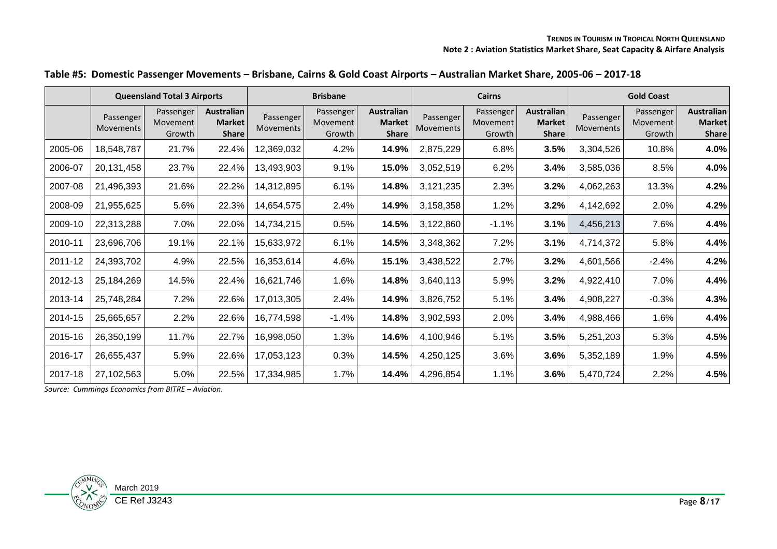|  |  | Table #5: Domestic Passenger Movements - Brisbane, Cairns & Gold Coast Airports - Australian Market Share, 2005-06 - 2017-18 |  |  |
|--|--|------------------------------------------------------------------------------------------------------------------------------|--|--|
|--|--|------------------------------------------------------------------------------------------------------------------------------|--|--|

|         |                        | <b>Queensland Total 3 Airports</b> |                                                    |                               | <b>Brisbane</b>                 |                                                    |                        | <b>Cairns</b>                   |                                                    | <b>Gold Coast</b>      |                                 |                                                    |  |
|---------|------------------------|------------------------------------|----------------------------------------------------|-------------------------------|---------------------------------|----------------------------------------------------|------------------------|---------------------------------|----------------------------------------------------|------------------------|---------------------------------|----------------------------------------------------|--|
|         | Passenger<br>Movements | Passenger<br>Movement<br>Growth    | <b>Australian</b><br><b>Market</b><br><b>Share</b> | Passenger<br><b>Movements</b> | Passenger<br>Movement<br>Growth | <b>Australian</b><br><b>Market</b><br><b>Share</b> | Passenger<br>Movements | Passenger<br>Movement<br>Growth | <b>Australian</b><br><b>Market</b><br><b>Share</b> | Passenger<br>Movements | Passenger<br>Movement<br>Growth | <b>Australian</b><br><b>Market</b><br><b>Share</b> |  |
| 2005-06 | 18,548,787             | 21.7%                              | 22.4%                                              | 12,369,032                    | 4.2%                            | 14.9%                                              | 2,875,229              | 6.8%                            | 3.5%                                               | 3,304,526              | 10.8%                           | 4.0%                                               |  |
| 2006-07 | 20,131,458             | 23.7%                              | 22.4%                                              | 13,493,903                    | 9.1%                            | 15.0%                                              | 3,052,519              | 6.2%                            | 3.4%                                               | 3,585,036              | 8.5%                            | 4.0%                                               |  |
| 2007-08 | 21,496,393             | 21.6%                              | 22.2%                                              | 14,312,895                    | 6.1%                            | 14.8%                                              | 3,121,235              | 2.3%                            | 3.2%                                               | 4,062,263              | 13.3%                           | 4.2%                                               |  |
| 2008-09 | 21,955,625             | 5.6%                               | 22.3%                                              | 14,654,575                    | 2.4%                            | 14.9%                                              | 3,158,358              | 1.2%                            | 3.2%                                               | 4,142,692              | 2.0%                            | 4.2%                                               |  |
| 2009-10 | 22,313,288             | 7.0%                               | 22.0%                                              | 14,734,215                    | 0.5%                            | 14.5%                                              | 3,122,860              | $-1.1\%$                        | 3.1%                                               | 4,456,213              | 7.6%                            | 4.4%                                               |  |
| 2010-11 | 23,696,706             | 19.1%                              | 22.1%                                              | 15,633,972                    | 6.1%                            | 14.5%                                              | 3,348,362              | 7.2%                            | 3.1%                                               | 4,714,372              | 5.8%                            | 4.4%                                               |  |
| 2011-12 | 24,393,702             | 4.9%                               | 22.5%                                              | 16,353,614                    | 4.6%                            | 15.1%                                              | 3,438,522              | 2.7%                            | 3.2%                                               | 4,601,566              | $-2.4\%$                        | 4.2%                                               |  |
| 2012-13 | 25,184,269             | 14.5%                              | 22.4%                                              | 16,621,746                    | 1.6%                            | 14.8%                                              | 3,640,113              | 5.9%                            | 3.2%                                               | 4,922,410              | 7.0%                            | 4.4%                                               |  |
| 2013-14 | 25,748,284             | 7.2%                               | 22.6%                                              | 17,013,305                    | 2.4%                            | 14.9%                                              | 3,826,752              | 5.1%                            | 3.4%                                               | 4,908,227              | $-0.3%$                         | 4.3%                                               |  |
| 2014-15 | 25,665,657             | 2.2%                               | 22.6%                                              | 16,774,598                    | $-1.4%$                         | 14.8%                                              | 3,902,593              | 2.0%                            | 3.4%                                               | 4,988,466              | 1.6%                            | 4.4%                                               |  |
| 2015-16 | 26,350,199             | 11.7%                              | 22.7%                                              | 16,998,050                    | 1.3%                            | 14.6%                                              | 4,100,946              | 5.1%                            | 3.5%                                               | 5,251,203              | 5.3%                            | 4.5%                                               |  |
| 2016-17 | 26,655,437             | 5.9%                               | 22.6%                                              | 17,053,123                    | 0.3%                            | 14.5%                                              | 4,250,125              | 3.6%                            | 3.6%                                               | 5,352,189              | 1.9%                            | 4.5%                                               |  |
| 2017-18 | 27,102,563             | 5.0%                               | 22.5%                                              | 17,334,985                    | 1.7%                            | 14.4%                                              | 4,296,854              | 1.1%                            | 3.6%                                               | 5,470,724              | 2.2%                            | 4.5%                                               |  |

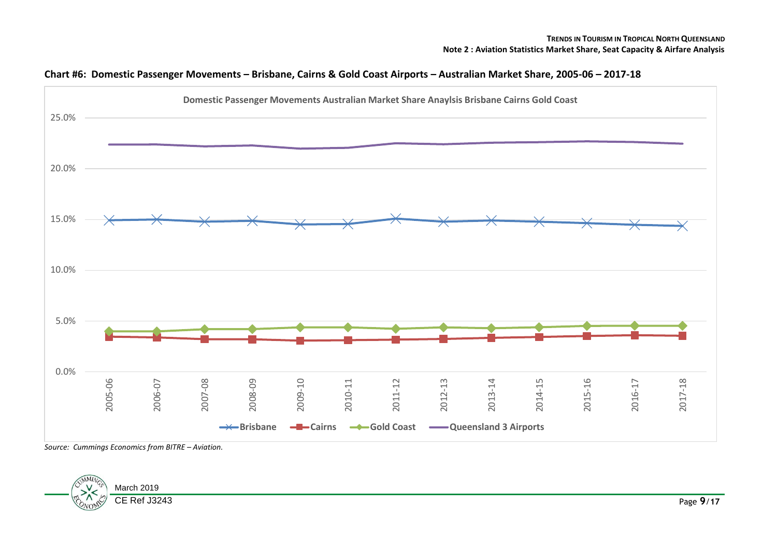

#### **Chart #6: Domestic Passenger Movements – Brisbane, Cairns & Gold Coast Airports – Australian Market Share, 2005-06 – 2017-18**

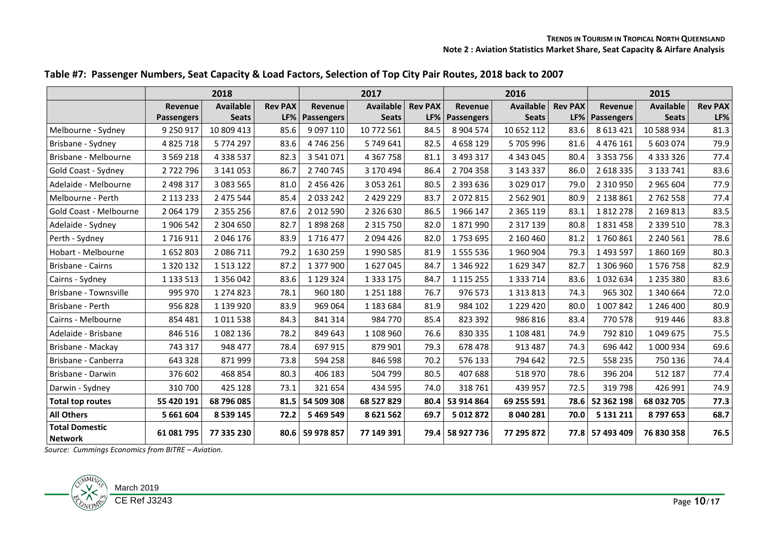|                                         |                   | 2018             |                | 2017            |                  |                |                 | 2016             |                | 2015                  |                  |                |  |
|-----------------------------------------|-------------------|------------------|----------------|-----------------|------------------|----------------|-----------------|------------------|----------------|-----------------------|------------------|----------------|--|
|                                         | Revenue           | <b>Available</b> | <b>Rev PAX</b> | Revenue         | <b>Available</b> | <b>Rev PAX</b> | Revenue         | <b>Available</b> | <b>Rev PAX</b> | Revenue               | <b>Available</b> | <b>Rev PAX</b> |  |
|                                         | <b>Passengers</b> | <b>Seats</b>     | LF%            | Passengers      | <b>Seats</b>     | LF%            | Passengers      | <b>Seats</b>     |                | <b>LF% Passengers</b> | <b>Seats</b>     | LF%            |  |
| Melbourne - Sydney                      | 9 250 917         | 10 809 413       | 85.6           | 9 0 9 7 1 1 0   | 10 772 561       | 84.5           | 8 904 574       | 10 652 112       | 83.6           | 8 6 13 4 21           | 10 588 934       | 81.3           |  |
| Brisbane - Sydney                       | 4 8 2 5 7 1 8     | 5774297          | 83.6           | 4746256         | 5 749 641        | 82.5           | 4 658 129       | 5705996          | 81.6           | 4 4 7 6 1 6 1         | 5 603 074        | 79.9           |  |
| Brisbane - Melbourne                    | 3 5 6 9 2 1 8     | 4 3 3 5 5 3 7    | 82.3           | 3 541 071       | 4 3 6 7 7 5 8    | 81.1           | 3 493 317       | 4 343 045        | 80.4           | 3 3 5 3 7 5 6         | 4 3 3 3 3 2 6    | 77.4           |  |
| Gold Coast - Sydney                     | 2722796           | 3 141 053        | 86.7           | 2 740 745       | 3 170 494        | 86.4           | 2 704 358       | 3 143 337        | 86.0           | 2 618 335             | 3 133 741        | 83.6           |  |
| Adelaide - Melbourne                    | 2 498 317         | 3 083 565        | 81.0           | 2 456 426       | 3 053 261        | 80.5           | 2 393 636       | 3 0 29 0 17      | 79.0           | 2 3 1 0 9 5 0         | 2 965 604        | 77.9           |  |
| Melbourne - Perth                       | 2 113 233         | 2 475 544        | 85.4           | 2 0 3 2 4 2     | 2 429 229        | 83.7           | 2072815         | 2 5 6 2 9 0 1    | 80.9           | 2 138 861             | 2762558          | 77.4           |  |
| Gold Coast - Melbourne                  | 2 0 6 4 1 7 9     | 2 3 5 2 2 5 6    | 87.6           | 2 012 590       | 2 3 2 6 6 3 0    | 86.5           | 1966147         | 2 3 6 5 1 1 9    | 83.1           | 1812278               | 2 169 813        | 83.5           |  |
| Adelaide - Sydney                       | 1 906 542         | 2 304 650        | 82.7           | 1898268         | 2 3 1 5 7 5 0    | 82.0           | 1871990         | 2 3 1 7 1 3 9    | 80.8           | 1831458               | 2 339 510        | 78.3           |  |
| Perth - Sydney                          | 1716911           | 2 046 176        | 83.9           | 1716477         | 2 094 426        | 82.0           | 1753695         | 2 160 460        | 81.2           | 1760861               | 2 240 561        | 78.6           |  |
| Hobart - Melbourne                      | 1652803           | 2 086 711        | 79.2           | 1630259         | 1990585          | 81.9           | 1 555 536       | 1960904          | 79.3           | 1 493 597             | 1860169          | 80.3           |  |
| Brisbane - Cairns                       | 1 3 2 0 1 3 2     | 1513122          | 87.2           | 1 377 900       | 1627045          | 84.7           | 1 346 922       | 1629347          | 82.7           | 1 306 960             | 1576758          | 82.9           |  |
| Cairns - Sydney                         | 1 133 513         | 1 356 042        | 83.6           | 1 129 324       | 1 3 3 1 7 5      | 84.7           | 1 1 1 5 2 5 5   | 1 3 3 7 1 4      | 83.6           | 1032634               | 1 235 380        | 83.6           |  |
| Brisbane - Townsville                   | 995 970           | 1 274 823        | 78.1           | 960 180         | 1 2 5 1 1 8 8    | 76.7           | 976 573         | 1 3 1 3 8 1 3    | 74.3           | 965 302               | 1 340 664        | 72.0           |  |
| Brisbane - Perth                        | 956 828           | 1 139 920        | 83.9           | 969 064         | 1 183 684        | 81.9           | 984 102         | 1 2 2 9 4 2 0    | 80.0           | 1 007 842             | 1 246 400        | 80.9           |  |
| Cairns - Melbourne                      | 854 481           | 1011538          | 84.3           | 841 314         | 984 770          | 85.4           | 823 392         | 986 816          | 83.4           | 770 578               | 919 446          | 83.8           |  |
| Adelaide - Brisbane                     | 846 516           | 1082136          | 78.2           | 849 643         | 1 108 960        | 76.6           | 830 335         | 1 108 481        | 74.9           | 792 810               | 1 049 675        | 75.5           |  |
| Brisbane - Mackay                       | 743 317           | 948 477          | 78.4           | 697 915         | 879 901          | 79.3           | 678 478         | 913 487          | 74.3           | 696 442               | 1 000 934        | 69.6           |  |
| Brisbane - Canberra                     | 643 328           | 871999           | 73.8           | 594 258         | 846 598          | 70.2           | 576 133         | 794 642          | 72.5           | 558 235               | 750 136          | 74.4           |  |
| Brisbane - Darwin                       | 376 602           | 468 854          | 80.3           | 406 183         | 504 799          | 80.5           | 407 688         | 518 970          | 78.6           | 396 204               | 512 187          | 77.4           |  |
| Darwin - Sydney                         | 310 700           | 425 128          | 73.1           | 321 654         | 434 595          | 74.0           | 318 761         | 439 957          | 72.5           | 319 798               | 426 991          | 74.9           |  |
| <b>Total top routes</b>                 | 55 420 191        | 68 796 085       | 81.5           | 54 509 308      | 68 527 829       | 80.4           | 53 914 864      | 69 255 591       | 78.6           | 52 362 198            | 68 032 705       | 77.3           |  |
| <b>All Others</b>                       | 5 661 604         | 8 5 3 9 1 4 5    | 72.2           | 5 4 69 5 49     | 8 621 562        | 69.7           | 5 012 872       | 8 040 281        | 70.0           | 5 131 211             | 8797653          | 68.7           |  |
| <b>Total Domestic</b><br><b>Network</b> | 61 081 795        | 77 335 230       |                | 80.6 59 978 857 | 77 149 391       |                | 79.4 58 927 736 | 77 295 872       |                | 77.8 57 493 409       | 76 830 358       | 76.5           |  |

**Table #7: Passenger Numbers, Seat Capacity & Load Factors, Selection of Top City Pair Routes, 2018 back to 2007**

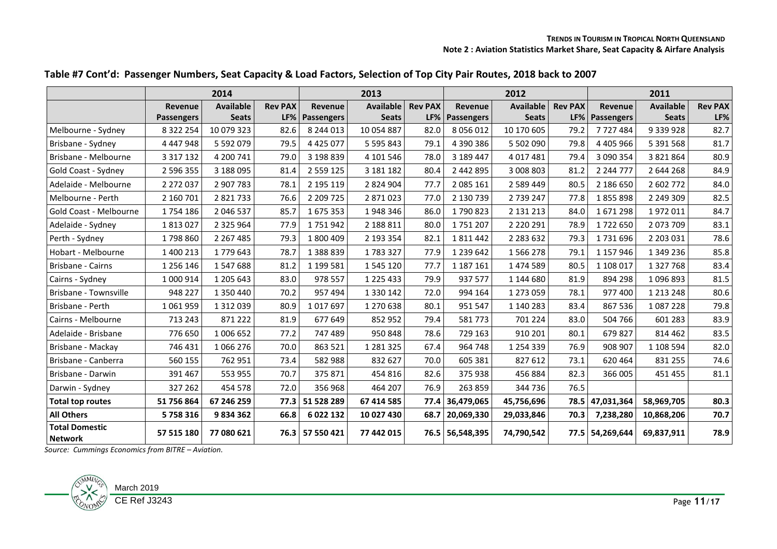|                                         |                   | 2014             |                | 2013                  |                  |                |                       | 2012             |                | 2011            |                  |                |  |
|-----------------------------------------|-------------------|------------------|----------------|-----------------------|------------------|----------------|-----------------------|------------------|----------------|-----------------|------------------|----------------|--|
|                                         | Revenue           | <b>Available</b> | <b>Rev PAX</b> | <b>Revenue</b>        | <b>Available</b> | <b>Rev PAX</b> | <b>Revenue</b>        | <b>Available</b> | <b>Rev PAX</b> | Revenue         | <b>Available</b> | <b>Rev PAX</b> |  |
|                                         | <b>Passengers</b> | <b>Seats</b>     |                | <b>LF% Passengers</b> | <b>Seats</b>     |                | <b>LF% Passengers</b> | <b>Seats</b>     |                | LF% Passengers  | <b>Seats</b>     | LF%            |  |
| Melbourne - Sydney                      | 8 3 2 2 2 5 4     | 10 079 323       | 82.6           | 8 244 013             | 10 054 887       | 82.0           | 8 0 5 6 0 1 2         | 10 170 605       | 79.2           | 7727484         | 9 339 928        | 82.7           |  |
| Brisbane - Sydney                       | 4 4 4 7 9 4 8     | 5 5 9 2 0 7 9    | 79.5           | 4 4 2 5 0 7 7         | 5 595 843        | 79.1           | 4 390 386             | 5 502 090        | 79.8           | 4 4 0 5 9 6 6   | 5 391 568        | 81.7           |  |
| Brisbane - Melbourne                    | 3 3 1 7 1 3 2     | 4 200 741        | 79.0           | 3 198 839             | 4 101 546        | 78.0           | 3 189 447             | 4 0 1 7 4 8 1    | 79.4           | 3 090 354       | 3 821 864        | 80.9           |  |
| Gold Coast - Sydney                     | 2 596 355         | 3 188 095        | 81.4           | 2 5 5 9 1 2 5         | 3 181 182        | 80.4           | 2 442 895             | 3 008 803        | 81.2           | 2 2 4 7 7 7 7   | 2 644 268        | 84.9           |  |
| Adelaide - Melbourne                    | 2 272 037         | 2 907 783        | 78.1           | 2 195 119             | 2 824 904        | 77.7           | 2 085 161             | 2 5 8 9 4 4 9    | 80.5           | 2 186 650       | 2 602 772        | 84.0           |  |
| Melbourne - Perth                       | 2 160 701         | 2 8 2 1 7 3 3    | 76.6           | 2 209 725             | 2 871 023        | 77.0           | 2 130 739             | 2 739 247        | 77.8           | 1855898         | 2 249 309        | 82.5           |  |
| Gold Coast - Melbourne                  | 1754186           | 2 046 537        | 85.7           | 1675353               | 1948346          | 86.0           | 1790823               | 2 131 213        | 84.0           | 1671298         | 1972011          | 84.7           |  |
| Adelaide - Sydney                       | 1813027           | 2 3 2 5 9 6 4    | 77.9           | 1751942               | 2 188 811        | 80.0           | 1751207               | 2 2 2 0 2 9 1    | 78.9           | 1722650         | 2 073 709        | 83.1           |  |
| Perth - Sydney                          | 1798860           | 2 2 6 7 4 8 5    | 79.3           | 1800409               | 2 193 354        | 82.1           | 1811442               | 2 2 8 3 6 3 2    | 79.3           | 1731696         | 2 203 031        | 78.6           |  |
| Hobart - Melbourne                      | 1 400 213         | 1779643          | 78.7           | 1388839               | 1783327          | 77.9           | 1 239 642             | 1566278          | 79.1           | 1 157 946       | 1 349 236        | 85.8           |  |
| Brisbane - Cairns                       | 1 256 146         | 1547688          | 81.2           | 1 199 581             | 1 545 120        | 77.7           | 1 187 161             | 1 474 589        | 80.5           | 1 108 017       | 1 327 768        | 83.4           |  |
| Cairns - Sydney                         | 1 000 914         | 1 205 643        | 83.0           | 978 557               | 1 2 2 5 4 3 3    | 79.9           | 937 577               | 1 144 680        | 81.9           | 894 298         | 1096893          | 81.5           |  |
| Brisbane - Townsville                   | 948 227           | 1 350 440        | 70.2           | 957 494               | 1 330 142        | 72.0           | 994 164               | 1 273 059        | 78.1           | 977 400         | 1 213 248        | 80.6           |  |
| Brisbane - Perth                        | 1061959           | 1 3 1 2 0 3 9    | 80.9           | 1017697               | 1 270 638        | 80.1           | 951 547               | 1 140 283        | 83.4           | 867 536         | 1087228          | 79.8           |  |
| Cairns - Melbourne                      | 713 243           | 871 222          | 81.9           | 677 649               | 852 952          | 79.4           | 581773                | 701 224          | 83.0           | 504 766         | 601 283          | 83.9           |  |
| Adelaide - Brisbane                     | 776 650           | 1 006 652        | 77.2           | 747 489               | 950 848          | 78.6           | 729 163               | 910 201          | 80.1           | 679 827         | 814 462          | 83.5           |  |
| Brisbane - Mackay                       | 746 431           | 1 066 276        | 70.0           | 863 521               | 1 2 8 1 3 2 5    | 67.4           | 964 748               | 1 2 5 4 3 3 9    | 76.9           | 908 907         | 1 108 594        | 82.0           |  |
| Brisbane - Canberra                     | 560 155           | 762 951          | 73.4           | 582 988               | 832 627          | 70.0           | 605 381               | 827 612          | 73.1           | 620 464         | 831 255          | 74.6           |  |
| Brisbane - Darwin                       | 391 467           | 553 955          | 70.7           | 375 871               | 454 816          | 82.6           | 375 938               | 456 884          | 82.3           | 366 005         | 451 455          | 81.1           |  |
| Darwin - Sydney                         | 327 262           | 454 578          | 72.0           | 356 968               | 464 207          | 76.9           | 263 859               | 344 736          | 76.5           |                 |                  |                |  |
| <b>Total top routes</b>                 | 51 756 864        | 67 246 259       | 77.3           | 51 528 289            | 67 414 585       |                | 77.4 36,479,065       | 45,756,696       |                | 78.5 47,031,364 | 58,969,705       | 80.3           |  |
| <b>All Others</b>                       | 5758316           | 9834362          | 66.8           | 6 022 132             | 10 027 430       | 68.7           | 20,069,330            | 29,033,846       | 70.3           | 7,238,280       | 10,868,206       | 70.7           |  |
| <b>Total Domestic</b><br><b>Network</b> | 57 515 180        | 77 080 621       |                | 76.3 57 550 421       | 77 442 015       |                | 76.5 56,548,395       | 74,790,542       |                | 77.5 54,269,644 | 69,837,911       | 78.9           |  |

#### **Table #7 Cont'd: Passenger Numbers, Seat Capacity & Load Factors, Selection of Top City Pair Routes, 2018 back to 2007**

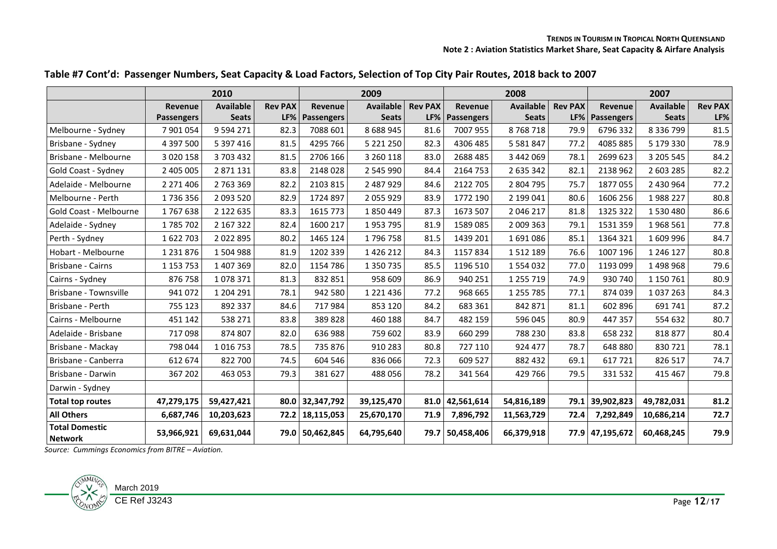|                                         |                   | 2010             |                | 2009                  |                  |                |                 | 2008             |                | 2007                  |                  |                |  |
|-----------------------------------------|-------------------|------------------|----------------|-----------------------|------------------|----------------|-----------------|------------------|----------------|-----------------------|------------------|----------------|--|
|                                         | Revenue           | <b>Available</b> | <b>Rev PAX</b> | Revenue               | <b>Available</b> | <b>Rev PAX</b> | <b>Revenue</b>  | <b>Available</b> | <b>Rev PAX</b> | Revenue               | <b>Available</b> | <b>Rev PAX</b> |  |
|                                         | <b>Passengers</b> | <b>Seats</b>     |                | <b>LF% Passengers</b> | <b>Seats</b>     |                | LF% Passengers  | <b>Seats</b>     |                | <b>LF% Passengers</b> | <b>Seats</b>     | LF%            |  |
| Melbourne - Sydney                      | 7 901 054         | 9 5 9 4 2 7 1    | 82.3           | 7088 601              | 8 6 8 9 9 4 5    | 81.6           | 7007 955        | 8768718          | 79.9           | 6796332               | 8 3 3 6 7 9 9    | 81.5           |  |
| Brisbane - Sydney                       | 4 397 500         | 5 397 416        | 81.5           | 4295 766              | 5 221 250        | 82.3           | 4306 485        | 5 5 8 1 8 4 7    | 77.2           | 4085885               | 5 179 330        | 78.9           |  |
| Brisbane - Melbourne                    | 3 0 2 0 1 5 8     | 3 703 432        | 81.5           | 2706 166              | 3 260 118        | 83.0           | 2688 485        | 3 442 069        | 78.1           | 2699 623              | 3 205 545        | 84.2           |  |
| Gold Coast - Sydney                     | 2 405 005         | 2 871 131        | 83.8           | 2148028               | 2 545 990        | 84.4           | 2164 753        | 2 635 342        | 82.1           | 2138 962              | 2 603 285        | 82.2           |  |
| Adelaide - Melbourne                    | 2 2 7 1 4 0 6     | 2 763 369        | 82.2           | 2103 815              | 2 487 929        | 84.6           | 2122 705        | 2 804 795        | 75.7           | 1877055               | 2 430 964        | 77.2           |  |
| Melbourne - Perth                       | 1736356           | 2 093 520        | 82.9           | 1724 897              | 2 055 929        | 83.9           | 1772 190        | 2 199 041        | 80.6           | 1606 256              | 1988227          | 80.8           |  |
| Gold Coast - Melbourne                  | 1767638           | 2 122 635        | 83.3           | 1615 773              | 1850449          | 87.3           | 1673 507        | 2 046 217        | 81.8           | 1325 322              | 1 530 480        | 86.6           |  |
| Adelaide - Sydney                       | 1785702           | 2 167 322        | 82.4           | 1600 217              | 1953795          | 81.9           | 1589 085        | 2 009 363        | 79.1           | 1531 359              | 1968 561         | 77.8           |  |
| Perth - Sydney                          | 1622703           | 2022895          | 80.2           | 1465 124              | 1796758          | 81.5           | 1439 201        | 1691086          | 85.1           | 1364 321              | 1 609 996        | 84.7           |  |
| Hobart - Melbourne                      | 1 2 3 1 8 7 6     | 1504988          | 81.9           | 1202 339              | 1 4 2 6 2 1 2    | 84.3           | 1157834         | 1512189          | 76.6           | 1007 196              | 1 246 127        | 80.8           |  |
| Brisbane - Cairns                       | 1 1 5 7 7 5 3     | 1 407 369        | 82.0           | 1154 786              | 1 350 735        | 85.5           | 1196 510        | 1554032          | 77.0           | 1193 099              | 1 498 968        | 79.6           |  |
| Cairns - Sydney                         | 876 758           | 1078371          | 81.3           | 832 851               | 958 609          | 86.9           | 940 251         | 1 2 5 7 1 9      | 74.9           | 930 740               | 1 150 761        | 80.9           |  |
| Brisbane - Townsville                   | 941 072           | 1 204 291        | 78.1           | 942 580               | 1 2 2 1 4 3 6    | 77.2           | 968 665         | 1 2 5 7 7 8 5    | 77.1           | 874 039               | 1 037 263        | 84.3           |  |
| Brisbane - Perth                        | 755 123           | 892 337          | 84.6           | 717984                | 853 120          | 84.2           | 683 361         | 842 871          | 81.1           | 602 896               | 691 741          | 87.2           |  |
| Cairns - Melbourne                      | 451 142           | 538 271          | 83.8           | 389828                | 460 188          | 84.7           | 482 159         | 596 045          | 80.9           | 447 357               | 554 632          | 80.7           |  |
| Adelaide - Brisbane                     | 717098            | 874 807          | 82.0           | 636 988               | 759 602          | 83.9           | 660 299         | 788 230          | 83.8           | 658 232               | 818877           | 80.4           |  |
| Brisbane - Mackay                       | 798 044           | 1016753          | 78.5           | 735 876               | 910 283          | 80.8           | 727 110         | 924 477          | 78.7           | 648 880               | 830721           | 78.1           |  |
| Brisbane - Canberra                     | 612 674           | 822 700          | 74.5           | 604 546               | 836 066          | 72.3           | 609 527         | 882 432          | 69.1           | 617721                | 826 517          | 74.7           |  |
| Brisbane - Darwin                       | 367 202           | 463 053          | 79.3           | 381 627               | 488056           | 78.2           | 341 564         | 429 766          | 79.5           | 331 532               | 415 467          | 79.8           |  |
| Darwin - Sydney                         |                   |                  |                |                       |                  |                |                 |                  |                |                       |                  |                |  |
| <b>Total top routes</b>                 | 47,279,175        | 59,427,421       |                | 80.0 32,347,792       | 39,125,470       |                | 81.0 42,561,614 | 54,816,189       |                | 79.1 39,902,823       | 49,782,031       | 81.2           |  |
| <b>All Others</b>                       | 6,687,746         | 10,203,623       |                | 72.2 18,115,053       | 25,670,170       | 71.9           | 7,896,792       | 11,563,729       | 72.4           | 7,292,849             | 10,686,214       | 72.7           |  |
| <b>Total Domestic</b><br><b>Network</b> | 53,966,921        | 69,631,044       |                | 79.0 50,462,845       | 64,795,640       |                | 79.7 50,458,406 | 66,379,918       |                | 77.9 47,195,672       | 60,468,245       | 79.9           |  |

#### **Table #7 Cont'd: Passenger Numbers, Seat Capacity & Load Factors, Selection of Top City Pair Routes, 2018 back to 2007**

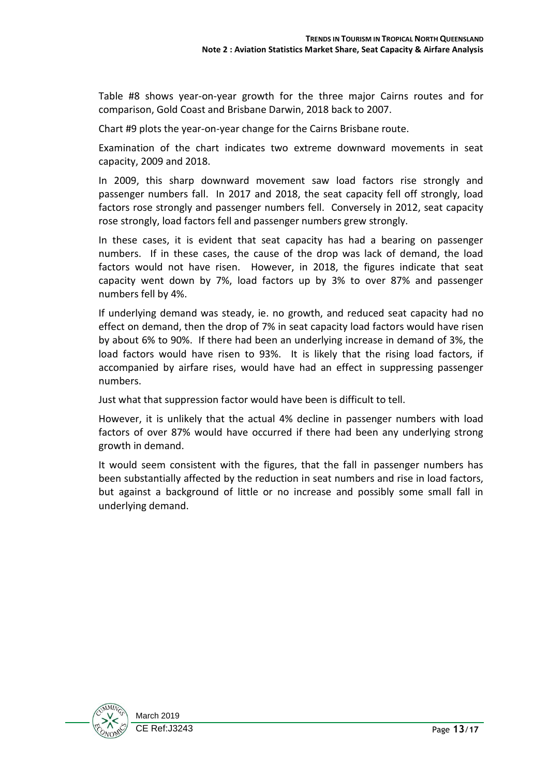Table #8 shows year-on-year growth for the three major Cairns routes and for comparison, Gold Coast and Brisbane Darwin, 2018 back to 2007.

Chart #9 plots the year-on-year change for the Cairns Brisbane route.

Examination of the chart indicates two extreme downward movements in seat capacity, 2009 and 2018.

In 2009, this sharp downward movement saw load factors rise strongly and passenger numbers fall. In 2017 and 2018, the seat capacity fell off strongly, load factors rose strongly and passenger numbers fell. Conversely in 2012, seat capacity rose strongly, load factors fell and passenger numbers grew strongly.

In these cases, it is evident that seat capacity has had a bearing on passenger numbers. If in these cases, the cause of the drop was lack of demand, the load factors would not have risen. However, in 2018, the figures indicate that seat capacity went down by 7%, load factors up by 3% to over 87% and passenger numbers fell by 4%.

If underlying demand was steady, ie. no growth, and reduced seat capacity had no effect on demand, then the drop of 7% in seat capacity load factors would have risen by about 6% to 90%. If there had been an underlying increase in demand of 3%, the load factors would have risen to 93%. It is likely that the rising load factors, if accompanied by airfare rises, would have had an effect in suppressing passenger numbers.

Just what that suppression factor would have been is difficult to tell.

However, it is unlikely that the actual 4% decline in passenger numbers with load factors of over 87% would have occurred if there had been any underlying strong growth in demand.

It would seem consistent with the figures, that the fall in passenger numbers has been substantially affected by the reduction in seat numbers and rise in load factors, but against a background of little or no increase and possibly some small fall in underlying demand.

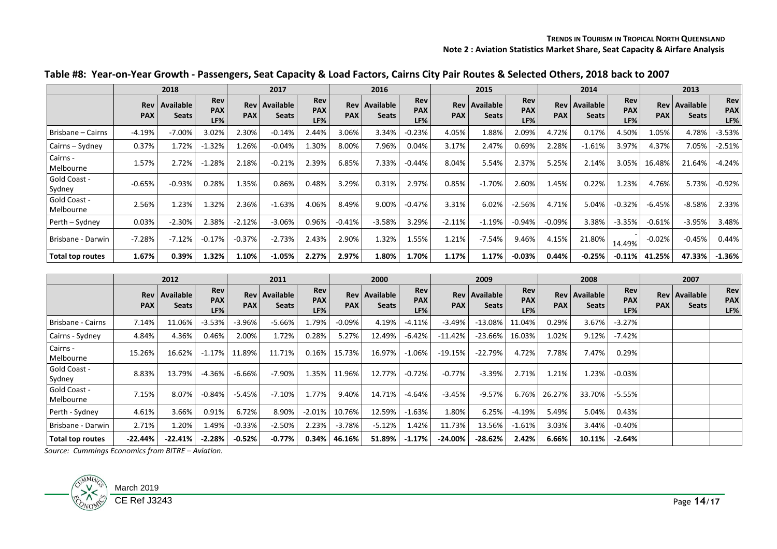|                           | 2018              |                           | 2017                     |                   | 2016                             |                                 | 2015              |                                  |                          | 2014              |                           |                          | 2013                     |                                  |                                 |                   |                           |                   |
|---------------------------|-------------------|---------------------------|--------------------------|-------------------|----------------------------------|---------------------------------|-------------------|----------------------------------|--------------------------|-------------------|---------------------------|--------------------------|--------------------------|----------------------------------|---------------------------------|-------------------|---------------------------|-------------------|
|                           | Rev<br><b>PAX</b> | Available<br><b>Seats</b> | Rev<br><b>PAX</b><br>LF% | Rev<br><b>PAX</b> | <b>Available</b><br><b>Seats</b> | <b>Rev</b><br><b>PAX</b><br>LF% | Rev<br><b>PAX</b> | <b>Available</b><br><b>Seats</b> | Rev<br><b>PAX</b><br>LF% | Rev<br><b>PAX</b> | Available<br><b>Seats</b> | Rev<br><b>PAX</b><br>LF% | <b>Rev</b><br><b>PAX</b> | <b>Available</b><br><b>Seats</b> | <b>Rev</b><br><b>PAX</b><br>LF% | Rev<br><b>PAX</b> | Available<br><b>Seats</b> | Rev<br>PAX<br>LF% |
| Brisbane – Cairns         | $-4.19%$          | $-7.00%$                  | 3.02%                    | 2.30%             | $-0.14%$                         | 2.44%                           | 3.06%             | 3.34%                            | $-0.23%$                 | 4.05%             | 1.88%                     | 2.09%                    | 4.72%                    | 0.17%                            | 4.50%                           | 1.05%             | 4.78%                     | $-3.53%$          |
| Cairns - Sydney           | 0.37%             | 1.72%                     | $-1.32%$                 | .26%              | $-0.04%$                         | 1.30%                           | 8.00%             | 7.96%                            | 0.04%                    | 3.17%             | 2.47%                     | 0.69%                    | 2.28%                    | $-1.61%$                         | 3.97%                           | 4.37%             | 7.05%                     | $-2.51%$          |
| Cairns -<br>Melbourne     | 1.57%             | 2.72%                     | $-1.28%$                 | 2.18%             | $-0.21%$                         | 2.39%                           | 6.85%             | 7.33%                            | $-0.44%$                 | 8.04%             | 5.54%                     | 2.37%                    | 5.25%                    | 2.14%                            | 3.05%                           | 16.48%            | 21.64%                    | $-4.24%$          |
| Gold Coast -<br>Sydney    | $-0.65%$          | $-0.93%$                  | 0.28%                    | 1.35%             | 0.86%                            | 0.48%                           | 3.29%             | 0.31%                            | 2.97%                    | 0.85%             | $-1.70%$                  | 2.60%                    | 1.45%                    | 0.22%                            | 1.23%                           | 4.76%             | 5.73%                     | $-0.92%$          |
| Gold Coast -<br>Melbourne | 2.56%             | L.23%                     | 1.32%                    | 2.36%             | $-1.63%$                         | 4.06%                           | 8.49%             | 9.00%                            | $-0.47%$                 | 3.31%             | 6.02%                     | $-2.56%$                 | 4.71%                    | 5.04%                            | $-0.32%$                        | $-6.45%$          | $-8.58%$                  | 2.33%             |
| Perth - Sydney            | 0.03%             | $-2.30%$                  | 2.38%                    | $-2.12%$          | $-3.06%$                         | 0.96%                           | $-0.41%$          | $-3.58%$                         | 3.29%                    | $-2.11%$          | $-1.19%$                  | $-0.94%$                 | $-0.09%$                 | 3.38%                            | $-3.35%$                        | $-0.61%$          | $-3.95%$                  | 3.48%             |
| l Brisbane - Darwin       | $-7.28%$          | $-7.12%$                  | $-0.17%$                 | $-0.37%$          | $-2.73%$                         | 2.43%                           | 2.90%             | 1.32%                            | 1.55%                    | 1.21%             | $-7.54%$                  | 9.46%                    | 4.15%                    | 21.80%                           | 14.49%                          | $-0.02%$          | $-0.45%$                  | 0.44%             |
| Total top routes          | 1.67%             | 0.39%                     | 1.32%                    | 1.10%             | $-1.05%$                         | 2.27%                           | 2.97%             | 1.80%                            | 1.70%                    | 1.17%             | 1.17%                     | $-0.03%$                 | 0.44%                    | -0.25%                           | $-0.11%$                        | 41.25%            | 47.33%                    | $-1.36%$          |

#### **Table #8: Year-on-Year Growth - Passengers, Seat Capacity & Load Factors, Cairns City Pair Routes & Selected Others, 2018 back to 2007**

|                               |                     | 2012                      | 2011                     |            |                                 | 2000                     |            |                                 | 2009                     |            |                                      | 2008                     |            |                                 | 2007                            |            |                                 |                          |
|-------------------------------|---------------------|---------------------------|--------------------------|------------|---------------------------------|--------------------------|------------|---------------------------------|--------------------------|------------|--------------------------------------|--------------------------|------------|---------------------------------|---------------------------------|------------|---------------------------------|--------------------------|
|                               | Rev  <br><b>PAX</b> | Available<br><b>Seats</b> | Rev<br><b>PAX</b><br>LF% | <b>PAX</b> | Rev   Available<br><b>Seats</b> | Rev<br><b>PAX</b><br>LF% | <b>PAX</b> | Rev   Available<br><b>Seats</b> | Rev<br><b>PAX</b><br>LF% | <b>PAX</b> | <b>Rev Available</b><br><b>Seats</b> | Rev<br><b>PAX</b><br>LF% | <b>PAX</b> | Rev   Available<br><b>Seats</b> | <b>Rev</b><br><b>PAX</b><br>LF% | <b>PAX</b> | Rev   Available<br><b>Seats</b> | Rev<br><b>PAX</b><br>LF% |
| Brisbane - Cairns             | 7.14%               | 11.06%                    | $-3.53%$                 | $-3.96%$   | -5.66%                          | 1.79%                    | $-0.09\%$  | 4.19%                           | $-4.11%$                 | $-3.49%$   | $-13.08%$                            | 11.04%                   | 0.29%      | 3.67%                           | $-3.27\%$                       |            |                                 |                          |
| Cairns - Sydney               | 4.84%               | 4.36%                     | 0.46%                    | 2.00%      | 1.72%                           | 0.28%                    | 5.27%      | 12.49%                          | $-6.42%$                 | $-11.42%$  | $-23.66%$                            | 16.03%                   | 1.02%      | 9.12%                           | $-7.42%$                        |            |                                 |                          |
| Cairns -<br>Melbourne         | 15.26%              | 16.62%                    | $-1.17\%$                | 11.89%     | 11.71%                          | 0.16%                    | 15.73%     | 16.97%                          | $-1.06%$                 | $-19.15%$  | $-22.79%$                            | 4.72%                    | 7.78%      | 7.47%                           | 0.29%                           |            |                                 |                          |
| <b>Gold Coast -</b><br>Sydney | 8.83%               | 13.79%                    | $-4.36%$                 | $-6.66%$   | -7.90%                          | 1.35%                    | 11.96%     | 12.77%                          | $-0.72%$                 | $-0.77%$   | $-3.39%$                             | 2.71%                    | 1.21%      | 1.23%                           | $-0.03\%$                       |            |                                 |                          |
| Gold Coast -<br>Melbourne     | 7.15%               | 8.07%                     | $-0.84%$                 | -5.45%     | $-7.10%$                        | 1.77%                    | 9.40%      | 14.71%                          | $-4.64%$                 | $-3.45%$   | $-9.57%$                             | 6.76%                    | 26.27%     | 33.70%                          | -5.55%                          |            |                                 |                          |
| Perth - Sydney                | 4.61%               | 3.66%                     | 0.91%                    | 6.72%      | 8.90%                           | $-2.01%$                 | 10.76%     | 12.59%                          | $-1.63%$                 | 1.80%      | 6.25%                                | $-4.19%$                 | 5.49%      | 5.04%                           | 0.43%                           |            |                                 |                          |
| Brisbane - Darwin             | 2.71%               | 1.20%                     | 1.49%                    | $-0.33%$   | $-2.50%$                        | 2.23%                    | $-3.78%$   | $-5.12%$                        | 1.42%                    | 11.73%     | 13.56%                               | $-1.61%$                 | 3.03%      | 3.44%                           | $-0.40%$                        |            |                                 |                          |
| Total top routes              | $-22.44%$           | $-22.41%$                 | $-2.28%$                 | $-0.52%$   | $-0.77%$                        | 0.34%                    | 46.16%     | 51.89%                          | $-1.17%$                 | $-24.00%$  | $-28.62%$                            | 2.42%                    | 6.66%      | 10.11%                          | $-2.64%$                        |            |                                 |                          |

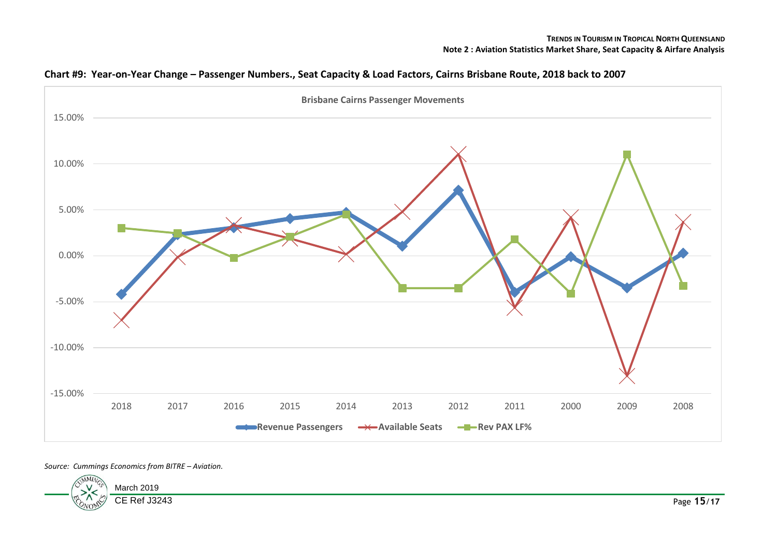

**Chart #9: Year-on-Year Change – Passenger Numbers., Seat Capacity & Load Factors, Cairns Brisbane Route, 2018 back to 2007**

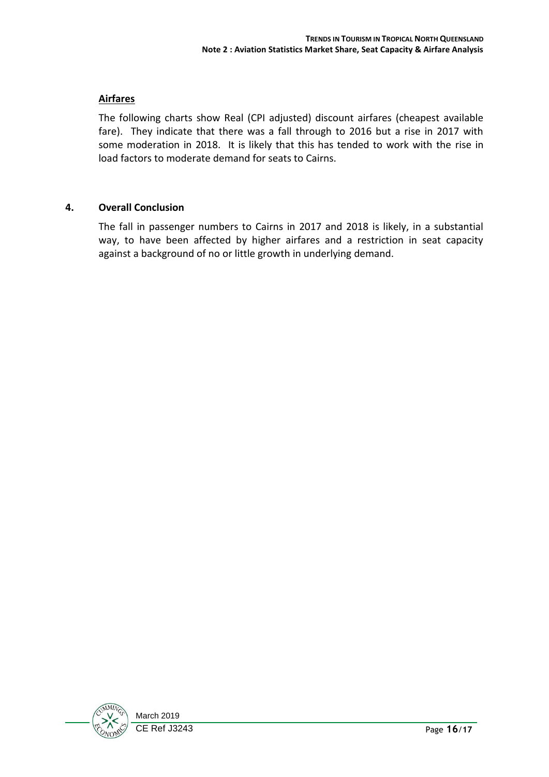#### **Airfares**

The following charts show Real (CPI adjusted) discount airfares (cheapest available fare). They indicate that there was a fall through to 2016 but a rise in 2017 with some moderation in 2018. It is likely that this has tended to work with the rise in load factors to moderate demand for seats to Cairns.

#### **4. Overall Conclusion**

The fall in passenger numbers to Cairns in 2017 and 2018 is likely, in a substantial way, to have been affected by higher airfares and a restriction in seat capacity against a background of no or little growth in underlying demand.